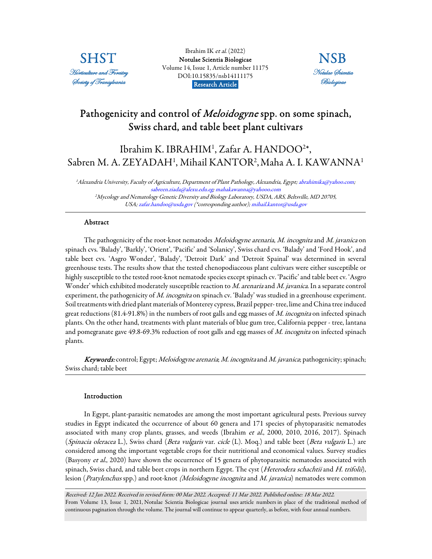

Ibrahim IK et al.  $(2022)$ [Notulae Scientia Biologicae](https://www.notulaebiologicae.ro/index.php/nsb/index)  Volume 14, Issue 1, Article number 11175 DOI:10.15835/nsb14111175 Research Article.



# Pathogenicity and control of *Meloidogyne* spp. on some spinach, Swiss chard, and table beet plant cultivars

# Ibrahim K. IBRAHIM<sup>1</sup>, Zafar A. HANDOO<sup>2\*</sup>, Sabren M. A. ZEYADAH<sup>1</sup>, Mihail KANTOR<sup>2</sup>, Maha A. I. KAWANNA<sup>1</sup>

<sup>1</sup>Alexandria University, Faculty of Agriculture, Department of Plant Pathology, Alexandria, Egypt; abrahimika@yahoo.com; sabreen.ziada@alexu.edu.eg; mahakawanna@yahooo.com <sup>2</sup>Mycology and Nematology Genetic Diversity and Biology Laboratory, USDA, ARS, Beltsville, MD 20705, USA; zafar.handoo@usda.gov (\*corresponding author); mihail.kantor@usda.gov

## Abstract

The pathogenicity of the root-knot nematodes Meloidogyne arenaria, M. incognita and M. javanica on spinach cvs. 'Balady', 'Barkly', 'Orient', 'Pacific' and 'Solanicy', Swiss chard cvs. 'Balady' and 'Ford Hook', and table beet cvs. 'Asgro Wonder', 'Balady', 'Detroit Dark' and 'Detroit Spainal' was determined in several greenhouse tests. The results show that the tested chenopodiaceous plant cultivars were either susceptible or highly susceptible to the tested root-knot nematode species except spinach cv. 'Pacific' and table beet cv. 'Asgro Wonder' which exhibited moderately susceptible reaction to M. arenaria and M. javanica. In a separate control experiment, the pathogenicity of  $M$ . incognita on spinach cv. 'Balady' was studied in a greenhouse experiment. Soil treatments with dried plant materials of Monterey cypress, Brazil pepper- tree, lime and China tree induced great reductions (81.4-91.8%) in the numbers of root galls and egg masses of M. incognita on infected spinach plants. On the other hand, treatments with plant materials of blue gum tree, California pepper - tree, lantana and pomegranate gave 49.8-69.3% reduction of root galls and egg masses of M. incognita on infected spinach plants.

Keywords: control; Egypt; Meloidogyne arenaria; M. incognita and M. javanica; pathogenicity; spinach; Swiss chard; table beet

## Introduction

In Egypt, plant-parasitic nematodes are among the most important agricultural pests. Previous survey studies in Egypt indicated the occurrence of about 60 genera and 171 species of phytoparasitic nematodes associated with many crop plants, grasses, and weeds (Ibrahim et al., 2000, 2010, 2016, 2017). Spinach (Spinacia oleracea L.), Swiss chard (Beta vulgaris var. cicle (L). Moq.) and table beet (Beta vulgaris L.) are considered among the important vegetable crops for their nutritional and economical values. Survey studies (Basyony et al., 2020) have shown the occurrence of 15 genera of phytoparasitic nematodes associated with spinach, Swiss chard, and table beet crops in northern Egypt. The cyst (Heterodera schachtii and H. trifolii), lesion (Pratylenchus spp.) and root-knot (Meloidogyne incognita and M. javanica) nematodes were common

Received: 12 Jan 2022. Received in revised form: 00 Mar 2022. Accepted: 11 Mar 2022. Published online: 18 Mar 2022. From Volume 13, Issue 1, 2021, Notulae Scientia Biologicae journal uses article numbers in place of the traditional method of continuous pagination through the volume. The journal will continue to appear quarterly, as before, with four annual numbers.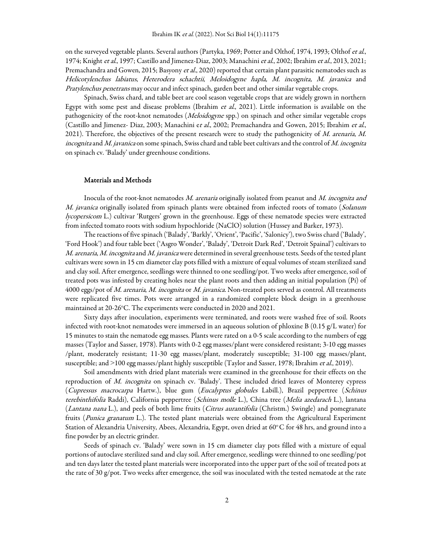on the surveyed vegetable plants. Several authors (Partyka, 1969; Potter and Olthof, 1974, 1993; Olthof et al., 1974; Knight et al., 1997; Castillo and Jimenez-Diaz, 2003; Manachini et al., 2002; Ibrahim et al., 2013, 2021; Premachandra and Gowen, 2015; Basyony et al., 2020) reported that certain plant parasitic nematodes such as Helicotylenchus labiatus, Heterodera schachtii, Meloidogyne hapla, M. incognita, M. javanica and Pratylenchus penetrans may occur and infect spinach, garden beet and other similar vegetable crops.

Spinach, Swiss chard, and table beet are cool season vegetable crops that are widely grown in northern Egypt with some pest and disease problems (Ibrahim et al., 2021). Little information is available on the pathogenicity of the root-knot nematodes (*Meloidogyne* spp.) on spinach and other similar vegetable crops (Castillo and Jimenez- Diaz, 2003; Manachini et al., 2002; Premachandra and Gowen, 2015; Ibrahim et al., 2021). Therefore, the objectives of the present research were to study the pathogenicity of M. arenaria, M. incognita and M. javanica on some spinach, Swiss chard and table beet cultivars and the control of M. incognita on spinach cv. 'Balady' under greenhouse conditions.

#### Materials and Methods

Inocula of the root-knot nematodes M. arenaria originally isolated from peanut and M. incognita and M. javanica originally isolated from spinach plants were obtained from infected roots of tomato (Solanum lycopersicom L.) cultivar 'Rutgers' grown in the greenhouse. Eggs of these nematode species were extracted from infected tomato roots with sodium hypochloride (NaClO) solution (Hussey and Barker, 1973).

The reactions of five spinach ('Balady', 'Barkly', 'Orient', 'Pacific', 'Salonicy'), two Swiss chard ('Balady', 'Ford Hook') and four table beet ('Asgro Wonder', 'Balady', 'Detroit Dark Red', 'Detroit Spainal') cultivars to M. arenaria, M. incognita and M. javanica were determined in several greenhouse tests. Seeds of the tested plant cultivars were sown in 15 cm diameter clay pots filled with a mixture of equal volumes of steam sterilized sand and clay soil. After emergence, seedlings were thinned to one seedling/pot. Two weeks after emergence, soil of treated pots was infested by creating holes near the plant roots and then adding an initial population (Pi) of 4000 eggs/pot of M. arenaria, M. incognita or M. javanica. Non-treated pots served as control. All treatments were replicated five times. Pots were arranged in a randomized complete block design in a greenhouse maintained at 20-26°C. The experiments were conducted in 2020 and 2021.

Sixty days after inoculation, experiments were terminated, and roots were washed free of soil. Roots infected with root-knot nematodes were immersed in an aqueous solution of phloxine B (0.15 g/L water) for 15 minutes to stain the nematode egg masses. Plants were rated on a 0-5 scale according to the numbers of egg masses (Taylor and Sasser, 1978). Plants with 0-2 egg masses/plant were considered resistant; 3-10 egg masses /plant, moderately resistant; 11-30 egg masses/plant, moderately susceptible; 31-100 egg masses/plant, susceptible; and >100 egg masses/plant highly susceptible (Taylor and Sasser, 1978; Ibrahim et al., 2019).

Soil amendments with dried plant materials were examined in the greenhouse for their effects on the reproduction of M. incognita on spinach cv. 'Balady'. These included dried leaves of Monterey cypress (Cupressus macrocarpa Hartw.), blue gum (Eucalyptus globules Labill.), Brazil peppertree (Schinus terebinthifolia Raddi), California peppertree (Schinus molle L.), China tree (Melia azedarach L.), lantana (Lantana nana L.), and peels of both lime fruits (Citrus aurantifolia (Christm.) Swingle) and pomegranate fruits (Punica granatum L.). The tested plant materials were obtained from the Agricultural Experiment Station of Alexandria University, Abees, Alexandria, Egypt, oven dried at 60°C for 48 hrs, and ground into a fine powder by an electric grinder.

Seeds of spinach cv. 'Balady' were sown in 15 cm diameter clay pots filled with a mixture of equal portions of autoclave sterilized sand and clay soil. After emergence, seedlings were thinned to one seedling/pot and ten days later the tested plant materials were incorporated into the upper part of the soil of treated pots at the rate of 30 g/pot. Two weeks after emergence, the soil was inoculated with the tested nematode at the rate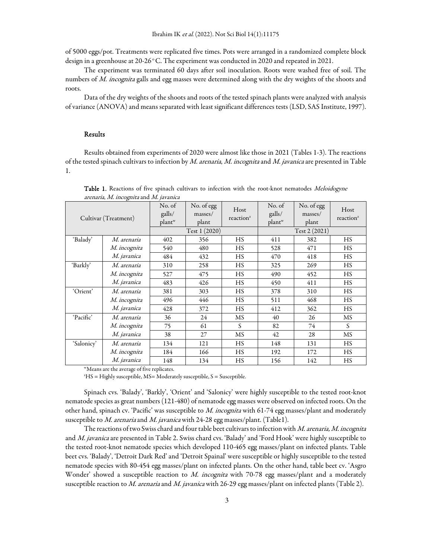of 5000 eggs/pot. Treatments were replicated five times. Pots were arranged in a randomized complete block design in a greenhouse at 20-26 $^{\circ}$ C. The experiment was conducted in 2020 and repeated in 2021.

The experiment was terminated 60 days after soil inoculation. Roots were washed free of soil. The numbers of M. incognita galls and egg masses were determined along with the dry weights of the shoots and roots.

Data of the dry weights of the shoots and roots of the tested spinach plants were analyzed with analysis of variance (ANOVA) and means separated with least significant differences tests (LSD, SAS Institute, 1997).

#### Results

Results obtained from experiments of 2020 were almost like those in 2021 (Tables 1-3). The reactions of the tested spinach cultivars to infection by M. arenaria, M. incognita and M. javanica are presented in Table 1.

| Cultivar (Treatment) |                    | No. of<br>galls/<br>plant <sup>w</sup> | No. of egg<br>masses/<br>plant | Host<br>reaction <sup>z</sup> | No. of<br>galls/<br>plan <sup>w</sup> | No. of egg<br>masses/<br>plant | Host<br>reaction <sup>z</sup> |
|----------------------|--------------------|----------------------------------------|--------------------------------|-------------------------------|---------------------------------------|--------------------------------|-------------------------------|
|                      |                    | Test 1 (2020)                          |                                |                               | Test 2 (2021)                         |                                |                               |
| 'Balady'             | <i>M. arenaria</i> | 402                                    | 356                            | <b>HS</b>                     | 411                                   | 382                            | <b>HS</b>                     |
|                      | M. incognita       | 540                                    | 480                            | HS                            | 528                                   | 471                            | HS                            |
|                      | M. javanica        | 484                                    | 432                            | HS                            | 470                                   | 418                            | <b>HS</b>                     |
| 'Barkly'             | M. arenaria        | 310                                    | 258                            | <b>HS</b>                     | 325                                   | 269                            | <b>HS</b>                     |
|                      | M. incognita       | 527                                    | 475                            | HS                            | 490                                   | 452                            | HS                            |
|                      | <i>M. javanica</i> | 483                                    | 426                            | <b>HS</b>                     | 450                                   | 411                            | HS                            |
| 'Orient'             | <i>M. arenaria</i> | 381                                    | 303                            | <b>HS</b>                     | 378                                   | 310                            | HS                            |
|                      | M. incognita       | 496                                    | 446                            | <b>HS</b>                     | 511                                   | 468                            | <b>HS</b>                     |
|                      | <i>M. javanica</i> | 428                                    | 372                            | <b>HS</b>                     | 412                                   | 362                            | HS                            |
| 'Pacific'            | M. arenaria        | 36                                     | 24                             | MS                            | 40                                    | 26                             | MS                            |
|                      | M. incognita       | 75                                     | 61                             | S                             | 82                                    | 74                             | S                             |
|                      | M. javanica        | 38                                     | 27                             | MS                            | 42                                    | 28                             | MS                            |
| 'Salonicy'           | M. arenaria        | 134                                    | 121                            | <b>HS</b>                     | 148                                   | 131                            | HS                            |
|                      | M. incognita       | 184                                    | 166                            | <b>HS</b>                     | 192                                   | 172                            | HS                            |
|                      | M. javanica        | 148                                    | 134                            | <b>HS</b>                     | 156                                   | 142                            | HS                            |

Table 1. Reactions of five spinach cultivars to infection with the root-knot nematodes Meloidogyne arenaria, M. incognita and M. javanica

<sup>w</sup>Means are the average of five replicates.

 ${}^{2}HS =$  Highly susceptible, MS= Moderately susceptible, S = Susceptible.

Spinach cvs. 'Balady', 'Barkly', 'Orient' and 'Salonicy' were highly susceptible to the tested root-knot nematode species as great numbers (121-480) of nematode egg masses were observed on infected roots. On the other hand, spinach cv. 'Pacific' was susceptible to  $M$ . incognita with 61-74 egg masses/plant and moderately susceptible to *M. arenaria* and *M. javanica* with 24-28 egg masses/plant. (Table1).

The reactions of two Swiss chard and four table beet cultivars to infection with M. arenaria, M. incognita and M. javanica are presented in Table 2. Swiss chard cvs. 'Balady' and 'Ford Hook' were highly susceptible to the tested root-knot nematode species which developed 110-465 egg masses/plant on infected plants. Table beet cvs. 'Balady', 'Detroit Dark Red' and 'Detroit Spainal' were susceptible or highly susceptible to the tested nematode species with 80-454 egg masses/plant on infected plants. On the other hand, table beet cv. 'Asgro Wonder' showed a susceptible reaction to M. incognita with 70-78 egg masses/plant and a moderately susceptible reaction to M. arenaria and M. javanica with 26-29 egg masses/plant on infected plants (Table 2).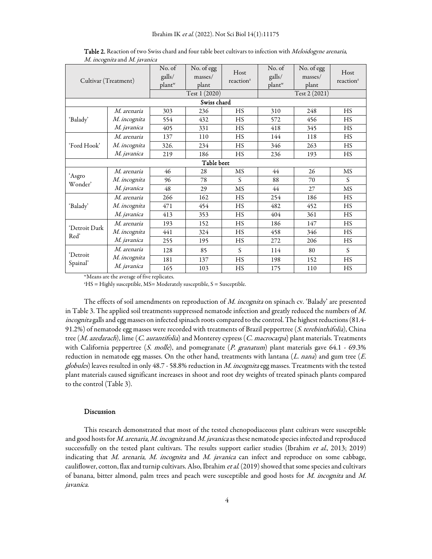| Cultivar (Treatment)  |                     | No. of<br>galls/<br>plant <sup>w</sup> | No. of egg<br>masses/<br>plant | Host<br>reaction <sup>z</sup> | No. of<br>galls/<br>plant <sup>w</sup> | No. of egg<br>masses/<br>plant | Host<br>reaction <sup>z</sup> |  |
|-----------------------|---------------------|----------------------------------------|--------------------------------|-------------------------------|----------------------------------------|--------------------------------|-------------------------------|--|
|                       |                     | Test 1 (2020)                          |                                |                               | Test 2 (2021)                          |                                |                               |  |
| Swiss chard           |                     |                                        |                                |                               |                                        |                                |                               |  |
| 'Balady'              | <i>M. arenaria</i>  | 303                                    | 236                            | <b>HS</b>                     | 310                                    | 248                            | <b>HS</b>                     |  |
|                       | <i>M. incognita</i> | 554                                    | 432                            | <b>HS</b>                     | 572                                    | 456                            | HS                            |  |
|                       | <i>M. javanica</i>  | 405                                    | 331                            | <b>HS</b>                     | 418                                    | 345                            | HS                            |  |
| 'Ford Hook'           | M. arenaria         | 137                                    | 110                            | HS                            | 144                                    | 118                            | HS                            |  |
|                       | <i>M. incognita</i> | 326.                                   | 234                            | HS                            | 346                                    | 263                            | HS                            |  |
|                       | <i>M. javanica</i>  | 219                                    | 186                            | HS                            | 236                                    | 193                            | HS                            |  |
| Table beet            |                     |                                        |                                |                               |                                        |                                |                               |  |
| 'Asgro<br>Wonder'     | <i>M. arenaria</i>  | 46                                     | 28                             | <b>MS</b>                     | 44                                     | 26                             | <b>MS</b>                     |  |
|                       | M. incognita        | 96                                     | 78                             | S                             | 88                                     | 70                             | S                             |  |
|                       | <i>M. javanica</i>  | 48                                     | 29                             | MS                            | 44                                     | 27                             | MS                            |  |
| 'Balady'              | M. arenaria         | 266                                    | 162                            | HS                            | 254                                    | 186                            | <b>HS</b>                     |  |
|                       | <i>M. incognita</i> | 471                                    | 454                            | HS                            | 482                                    | 452                            | HS                            |  |
|                       | <i>M. javanica</i>  | 413                                    | 353                            | HS                            | 404                                    | 361                            | <b>HS</b>                     |  |
| 'Detroit Dark<br>Red' | M. arenaria         | 193                                    | 152                            | HS                            | 186                                    | 147                            | HS                            |  |
|                       | <i>M. incognita</i> | 441                                    | 324                            | HS                            | 458                                    | 346                            | HS                            |  |
|                       | M. javanica         | 255                                    | 195                            | <b>HS</b>                     | 272                                    | 206                            | HS                            |  |
| 'Detroit<br>Spainal'  | M. arenaria         | 128                                    | 85                             | S                             | 114                                    | 80                             | S                             |  |
|                       | M. incognita        | 181                                    | 137                            | HS                            | 198                                    | 152                            | HS                            |  |
|                       | M. javanica         | 165                                    | 103                            | HS                            | 175                                    | 110                            | HS                            |  |

Table 2. Reaction of two Swiss chard and four table beet cultivars to infection with Meloidogyne arenaria, M. incognita and M. javanica

<sup>w</sup>Means are the average of five replicates.

 ${}^2HS$  = Highly susceptible, MS= Moderately susceptible, S = Susceptible.

The effects of soil amendments on reproduction of M. incognita on spinach cv. 'Balady' are presented in Table 3. The applied soil treatments suppressed nematode infection and greatly reduced the numbers of M. incognita galls and egg masses on infected spinach roots compared to the control. The highest reductions (81.4- 91.2%) of nematode egg masses were recorded with treatments of Brazil peppertree (S. terebinthifolia), China tree (M. azedarach), lime (C. aurantifolia) and Monterey cypress (C. macrocarpa) plant materials. Treatments with California peppertree (S. molle), and pomegranate (P. granatum) plant materials gave 64.1 - 69.3% reduction in nematode egg masses. On the other hand, treatments with lantana  $(L. nana)$  and gum tree  $(E.$ globules) leaves resulted in only 48.7 - 58.8% reduction in M. incognita egg masses. Treatments with the tested plant materials caused significant increases in shoot and root dry weights of treated spinach plants compared to the control (Table 3).

#### Discussion

This research demonstrated that most of the tested chenopodiaceous plant cultivars were susceptible and good hosts for M. arenaria, M. incognita and M. javanica as these nematode species infected and reproduced successfully on the tested plant cultivars. The results support earlier studies (Ibrahim et al., 2013; 2019) indicating that M. arenaria, M. incognita and M. javanica can infect and reproduce on some cabbage, cauliflower, cotton, flax and turnip cultivars. Also, Ibrahim et al. (2019) showed that some species and cultivars of banana, bitter almond, palm trees and peach were susceptible and good hosts for M. incognita and M. javanica.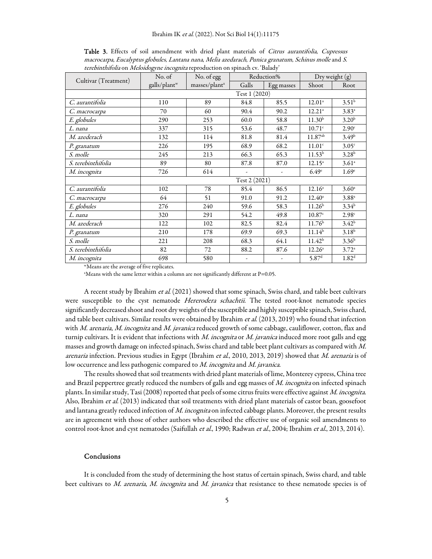|                      | No. of                   | No. of egg                | Reduction% |            | Dry weight (g)     |                   |
|----------------------|--------------------------|---------------------------|------------|------------|--------------------|-------------------|
| Cultivar (Treatment) | galls/plant <sup>w</sup> | masses/plant <sup>x</sup> | Galls      | Egg masses | Shoot              | Root              |
|                      | Test 1 (2020)            |                           |            |            |                    |                   |
| C. aurantifolia      | 110                      | 89                        | 84.8       | 85.5       | 12.01 <sup>a</sup> | $3.51^{b}$        |
| C. macrocarpa        | 70                       | 60                        | 90.4       | 90.2       | 12.21 <sup>a</sup> | $3.83^{a}$        |
| E. globules          | 290                      | 253                       | 60.0       | 58.8       | 11.30 <sup>b</sup> | 3.20 <sup>b</sup> |
| L. nana              | 337                      | 315                       | 53.6       | 48.7       | $10.71$ c          | 2.90 <sup>c</sup> |
| M. azederach         | 132                      | 114                       | 81.8       | 81.4       | $11.87^{ab}$       | 3.49 <sup>b</sup> |
| P. granatum          | 226                      | 195                       | 68.9       | 68.2       | 11.01 <sup>c</sup> | 3.05 <sup>c</sup> |
| S. molle             | 245                      | 213                       | 66.3       | 65.3       | $11.53^{b}$        | $3.28^{b}$        |
| S. terebinthifolia   | 89                       | 80                        | 87.8       | 87.0       | $12.15^a$          | 3.61 <sup>a</sup> |
| M. incognita         | 726                      | 614                       |            |            | 6.49 <sup>c</sup>  | 1.69 <sup>c</sup> |
|                      | Test 2 (2021)            |                           |            |            |                    |                   |
| C. aurantifolia      | 102                      | 78                        | 85.4       | 86.5       | $12.16^a$          | 3.60 <sup>a</sup> |
| C. macrocarpa        | 64                       | 51                        | 91.0       | 91.2       | $12.40^{\circ}$    | $3.88^{a}$        |
| E. globules          | 276                      | 240                       | 59.6       | 58.3       | 11.26 <sup>b</sup> | $3.34^{b}$        |
| L. nana              | 320                      | 291                       | 54.2       | 49.8       | 10.87c             | 2.98c             |
| M. azederach         | 122                      | 102                       | 82.5       | 82.4       | 11.76 <sup>b</sup> | $3.42^{b}$        |
| P. granatum          | 210                      | 178                       | 69.9       | 69.3       | $11.14^{b}$        | 3.18 <sup>b</sup> |
| S. molle             | 221                      | 208                       | 68.3       | 64.1       | 11.42 <sup>b</sup> | 3.36 <sup>b</sup> |
| S. terebinthifolia   | 82                       | 72                        | 88.2       | 87.6       | $12.26^a$          | $3.72^{a}$        |
| M. incognita         | 698                      | 580                       |            |            | 5.87 <sup>d</sup>  | 1.82 <sup>d</sup> |

Table 3. Effects of soil amendment with dried plant materials of Citrus aurantifolia, Cupressus macrocarpa, Eucalyptus globules, Lantana nana, Melia azedarach, Punica granatum, Schinus molle and S. terebinthifolia on Meloidogyne incognita reproduction on spinach cv. 'Balady'

<sup>w</sup>Means are the average of five replicates.

 $x$ Means with the same letter within a column are not significantly different at P=0.05.

A recent study by Ibrahim et al. (2021) showed that some spinach, Swiss chard, and table beet cultivars were susceptible to the cyst nematode Hererodera schachtii. The tested root-knot nematode species significantly decreased shoot and root dry weights of the susceptible and highly susceptible spinach, Swiss chard, and table beet cultivars. Similar results were obtained by Ibrahim et al. (2013, 2019) who found that infection with M. arenaria, M. incognita and M. javanica reduced growth of some cabbage, cauliflower, cotton, flax and turnip cultivars. It is evident that infections with M. incognita or M. javanica induced more root galls and egg masses and growth damage on infected spinach, Swiss chard and table beet plant cultivars as compared with M. arenaria infection. Previous studies in Egypt (Ibrahim et al., 2010, 2013, 2019) showed that M. arenaria is of low occurrence and less pathogenic compared to M. incognita and M. javanica.

The results showed that soil treatments with dried plant materials of lime, Monterey cypress, China tree and Brazil peppertree greatly reduced the numbers of galls and egg masses of M. incognita on infected spinach plants. In similar study, Tasi (2008) reported that peels of some citrus fruits were effective against M. incognita. Also, Ibrahim et al. (2013) indicated that soil treatments with dried plant materials of castor bean, goosefoot and lantana greatly reduced infection of M. incognita on infected cabbage plants. Moreover, the present results are in agreement with those of other authors who described the effective use of organic soil amendments to control root-knot and cyst nematodes (Saifullah et al., 1990; Radwan et al., 2004; Ibrahim et al., 2013, 2014).

#### Conclusions

It is concluded from the study of determining the host status of certain spinach, Swiss chard, and table beet cultivars to *M. arenaria, M. incognita* and *M. javanica* that resistance to these nematode species is of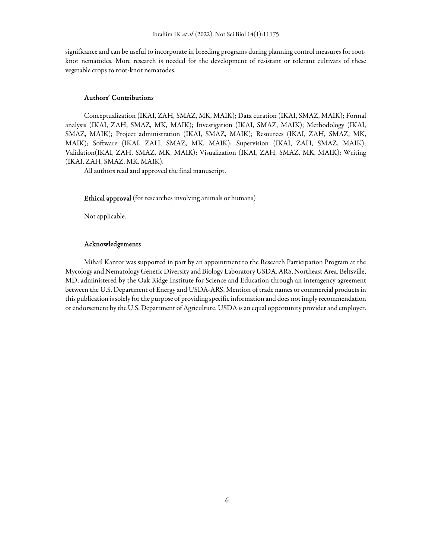significance and can be useful to incorporate in breeding programs during planning control measures for rootknot nematodes. More research is needed for the development of resistant or tolerant cultivars of these vegetable crops to root-knot nematodes.

## Authors' Contributions

Conceptualization (IKAI, ZAH, SMAZ, MK, MAIK); Data curation (IKAI, SMAZ, MAIK); Formal analysis (IKAI, ZAH, SMAZ, MK, MAIK); Investigation (IKAI, SMAZ, MAIK); Methodology (IKAI, SMAZ, MAIK); Project administration (IKAI, SMAZ, MAIK); Resources (IKAI, ZAH, SMAZ, MK, MAIK); Software (IKAI, ZAH, SMAZ, MK, MAIK); Supervision (IKAI, ZAH, SMAZ, MAIK); Validation(IKAI, ZAH, SMAZ, MK, MAIK); Visualization (IKAI, ZAH, SMAZ, MK, MAIK); Writing (IKAI, ZAH, SMAZ, MK, MAIK).

All authors read and approved the final manuscript.

Ethical approval (for researches involving animals or humans)

Not applicable.

### Acknowledgements

Mihail Kantor was supported in part by an appointment to the Research Participation Program at the Mycology and Nematology Genetic Diversity and Biology Laboratory USDA, ARS, Northeast Area, Beltsville, MD, administered by the Oak Ridge Institute for Science and Education through an interagency agreement between the U.S. Department of Energy and USDA-ARS. Mention of trade names or commercial products in this publication is solely for the purpose of providing specific information and does not imply recommendation or endorsement by the U.S. Department of Agriculture. USDA is an equal opportunity provider and employer.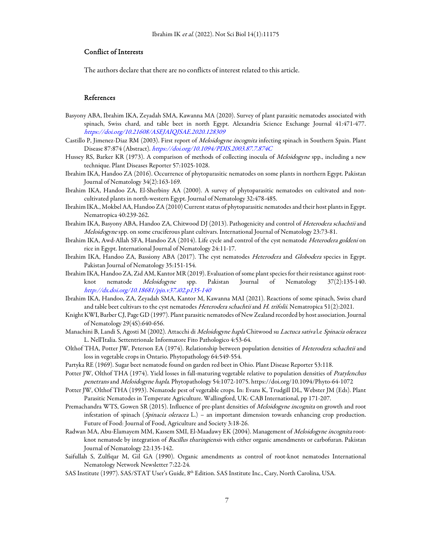## Conflict of Interests

The authors declare that there are no conflicts of interest related to this article.

## References

- Basyony ABA, Ibrahim IKA, Zeyadah SMA, Kawanna MA (2020). Survey of plant parasitic nematodes associated with spinach, Swiss chard, and table beet in north Egypt. Alexandria Science Exchange Journal 41:471-477. https://doi.org/10.21608/ASEJAIQJSAE.2020.128309
- Castillo P, Jimenez-Diaz RM (2003). First report of *Meloidogyne incognita* infecting spinach in Southern Spain. Plant Disease 87:874 (Abstract). https://doi.org/10.1094/PDIS.2003.87.7.874C
- Hussey RS, Barker KR (1973). A comparison of methods of collecting inocula of Meloidogyne spp., including a new technique. Plant Diseases Reporter 57:1025-1028.
- Ibrahim IKA, Handoo ZA (2016). Occurrence of phytoparasitic nematodes on some plants in northern Egypt. Pakistan Journal of Nematology 34(2):163-169.
- Ibrahim IKA, Handoo ZA, El-Sherbiny AA (2000). A survey of phytoparasitic nematodes on cultivated and noncultivated plants in north-western Egypt. Journal of Nematology 32:478-485.
- Ibrahim IKA., Mokbel AA, Handoo ZA (2010) Current status of phytoparasitic nematodes and their host plants in Egypt. Nematropica 40:239-262.
- Ibrahim IKA, Basyony ABA, Handoo ZA, Chitwood DJ (2013). Pathogenicity and control of Heterodera schachtii and Meloidogyne spp. on some cruciferous plant cultivars. International Journal of Nematology 23:73-81.
- Ibrahim IKA, Awd-Allah SFA, Handoo ZA (2014). Life cycle and control of the cyst nematode Heterodera goldeni on rice in Egypt. International Journal of Nematology 24:11-17.
- Ibrahim IKA, Handoo ZA, Bassiony ABA (2017). The cyst nematodes Heterodera and Globodera species in Egypt. Pakistan Journal of Nematology 35:151-154.
- Ibrahim IKA, Handoo ZA, Zid AM, Kantor MR (2019). Evaluation of some plant species for their resistance against rootknot nematode Meloidogyne spp. Pakistan Journal of Nematology 37(2):135-140. http://dx.doi.org/10.18681/pjn.v37.i02.p135-140
- Ibrahim IKA, Handoo, ZA, Zeyadah SMA, Kantor M, Kawanna MAI (2021). Reactions of some spinach, Swiss chard and table beet cultivars to the cyst nematodes Heterodera schachtii and H. trifolii. Nematropica 51(2):2021.
- Knight KWI, Barber CJ, Page GD (1997). Plant parasitic nematodes of New Zealand recorded by host association. Journal of Nematology 29(4S):640-656.
- Manachini B, Landi S, Agosti M (2002). Attacchi di Meloidogyne hapla Chitwood su Lactuca sativa l.e Spinacia oleracea L. Nell'Italia. Settentrionale Informatore Fito Pathologico 4:53-64.
- Olthof THA, Potter JW, Peterson EA (1974). Relationship between population densities of Heterodera schachtii and loss in vegetable crops in Ontario. Phytopathology 64:549-554.
- Partyka RE (1969). Sugar beet nematode found on garden red beet in Ohio. Plant Disease Reporter 53:118.
- Potter JW, Olthof THA (1974). Yield losses in fall-maturing vegetable relative to population densities of Pratylenchus penetrans and Meloidogyne hapla. Phytopathology 54:1072-1075. https://doi.org/10.1094/Phyto-64-1072
- Potter JW, Olthof THA (1993). Nematode pest of vegetable crops. In: Evans K, Trudgill DL, Webster JM (Eds). Plant Parasitic Nematodes in Temperate Agriculture. Wallingford, UK: CAB International, pp 171-207.
- Premachandra WTS, Gowen SR (2015). Influence of pre-plant densities of Meloidogyne incognita on growth and root infestation of spinach (Spinacia oleracea L.) – an important dimension towards enhancing crop production. Future of Food: Journal of Food, Agriculture and Society 3:18-26.
- Radwan MA, Abu-Elamayem MM, Kassem SMI, El-Maadawy EK (2004). Management of Meloidogyne incognita rootknot nematode by integration of Bacillus thuringiensis with either organic amendments or carbofuran. Pakistan Journal of Nematology 22:135-142.
- Saifullah S, Zulfiqar M, Gil GA (1990). Organic amendments as control of root-knot nematodes International Nematology Network Newsletter 7:22-24.
- SAS Institute (1997). SAS/STAT User's Guide, 8<sup>th</sup> Edition. SAS Institute Inc., Cary, North Carolina, USA.